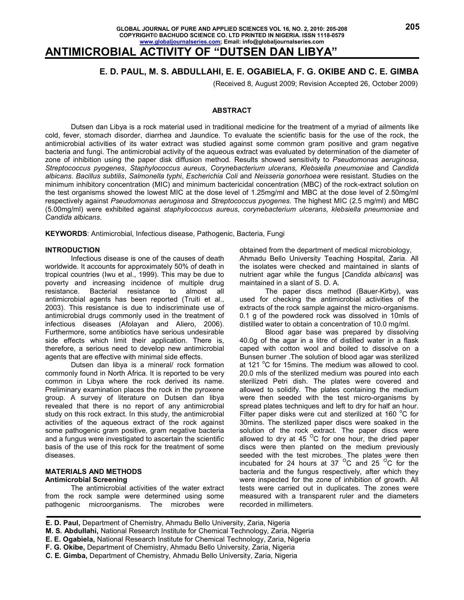# **ANTIMICROBIAL ACTIVITY OF "DUTSEN DAN LIBYA"**

# **E. D. PAUL, M. S. ABDULLAHI, E. E. OGABIELA, F. G. OKIBE AND C. E. GIMBA**

(Received 8, August 2009; Revision Accepted 26, October 2009)

### **ABSTRACT**

 Dutsen dan Libya is a rock material used in traditional medicine for the treatment of a myriad of ailments like cold, fever, stomach disorder, diarrhea and Jaundice. To evaluate the scientific basis for the use of the rock, the antimicrobial activities of its water extract was studied against some common gram positive and gram negative bacteria and fungi. The antimicrobial activity of the aqueous extract was evaluated by determination of the diameter of zone of inhibition using the paper disk diffusion method. Results showed sensitivity to *Pseudomonas aeruginosa*, *Streptococcus pyogenes*, *Staphylococcus aureus*, *Corynebacterium ulcerans*, *Klebsiella pneumoniae* and *Candida albicans*. *Bacillus subtilis*, *Salmonella typhi*, *Escherichia Coli* and *Neisseria gonorhoea* were resistant. Studies on the minimum inhibitory concentration (MIC) and minimum bactericidal concentration (MBC) of the rock-extract solution on the test organisms showed the lowest MIC at the dose level of 1.25mg/ml and MBC at the dose level of 2.50mg/ml respectively against *Pseudomonas aeruginosa* and *Streptococcus pyogenes*. The highest MIC (2.5 mg/ml) and MBC (5.00mg/ml) were exhibited against *staphylococcus aureus*, *corynebacterium ulcerans*, *klebsiella pneumoniae* and *Candida albicans*.

**KEYWORDS**: Antimicrobial, Infectious disease, Pathogenic, Bacteria, Fungi

#### **INTRODUCTION**

 Infectious disease is one of the causes of death worldwide. It accounts for approximately 50% of death in tropical countries (Iwu et al., 1999). This may be due to poverty and increasing incidence of multiple drug resistance. Bacterial resistance to almost all antimicrobial agents has been reported (Truiti et al., 2003). This resistance is due to indiscriminate use of antimicrobial drugs commonly used in the treatment of infectious diseases (Afolayan and Aliero, 2006). Furthermore, some antibiotics have serious undesirable side effects which limit their application. There is, therefore, a serious need to develop new antimicrobial agents that are effective with minimal side effects.

 Dutsen dan libya is a mineral/ rock formation commonly found in North Africa. It is reported to be very common in Libya where the rock derived its name. Preliminary examination places the rock in the pyroxene group. A survey of literature on Dutsen dan libya revealed that there is no report of any antimicrobial study on this rock extract. In this study, the antimicrobial activities of the aqueous extract of the rock against some pathogenic gram positive, gram negative bacteria and a fungus were investigated to ascertain the scientific basis of the use of this rock for the treatment of some diseases.

### **MATERIALS AND METHODS Antimicrobial Screening**

 The antimicrobial activities of the water extract from the rock sample were determined using some pathogenic microorganisms. The microbes were obtained from the department of medical microbiology, Ahmadu Bello University Teaching Hospital, Zaria. All the isolates were checked and maintained in slants of nutrient agar while the fungus [*Candida albicans*] was maintained in a slant of S. D. A.

 The paper discs method (Bauer-Kirby), was used for checking the antimicrobial activities of the extracts of the rock sample against the micro-organisms. 0.1 g of the powdered rock was dissolved in 10mls of distilled water to obtain a concentration of 10.0 mg/ml.

 Blood agar base was prepared by dissolving 40.0g of the agar in a litre of distilled water in a flask caped with cotton wool and boiled to dissolve on a Bunsen burner .The solution of blood agar was sterilized at 121  $\mathrm{^{\circ}C}$  for 15 mins. The medium was allowed to cool. 20.0 mls of the sterilized medium was poured into each sterilized Petri dish. The plates were covered and allowed to solidify. The plates containing the medium were then seeded with the test micro-organisms by spread plates techniques and left to dry for half an hour. Filter paper disks were cut and sterilized at 160  $\mathrm{^{\circ}C}$  for 30mins. The sterilized paper discs were soaked in the solution of the rock extract. The paper discs were allowed to dry at 45  $\mathrm{^{\circ}C}$  for one hour, the dried paper discs were then planted on the medium previously seeded with the test microbes. The plates were then incubated for 24 hours at  $37<sup>o</sup>C$  and  $25<sup>o</sup>C$  for the bacteria and the fungus respectively, after which they were inspected for the zone of inhibition of growth. All tests were carried out in duplicates. The zones were measured with a transparent ruler and the diameters recorded in millimeters.

**E. D. Paul,** Department of Chemistry, Ahmadu Bello University, Zaria, Nigeria

**M. S. Abdullahi,** National Research Institute for Chemical Technology, Zaria, Nigeria

**E. E. Ogabiela,** National Research Institute for Chemical Technology, Zaria, Nigeria

**F. G. Okibe,** Department of Chemistry, Ahmadu Bello University, Zaria, Nigeria

**C. E. Gimba,** Department of Chemistry, Ahmadu Bello University, Zaria, Nigeria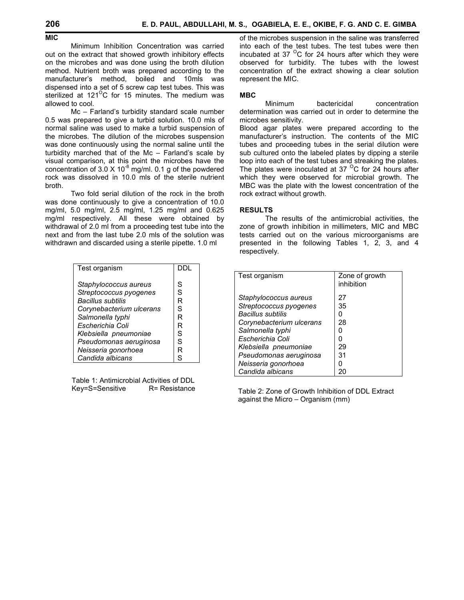### **MIC**

 Minimum Inhibition Concentration was carried out on the extract that showed growth inhibitory effects on the microbes and was done using the broth dilution method. Nutrient broth was prepared according to the manufacturer's method, boiled and 10mls was dispensed into a set of 5 screw cap test tubes. This was sterilized at  $121^{\circ}$ C for 15 minutes. The medium was allowed to cool.

 Mc – Farland's turbidity standard scale number 0.5 was prepared to give a turbid solution. 10.0 mls of normal saline was used to make a turbid suspension of the microbes. The dilution of the microbes suspension was done continuously using the normal saline until the turbidity marched that of the Mc – Farland's scale by visual comparison, at this point the microbes have the concentration of 3.0 X 10 $^8$  mg/ml. 0.1 g of the powdered rock was dissolved in 10.0 mls of the sterile nutrient broth.

 Two fold serial dilution of the rock in the broth was done continuously to give a concentration of 10.0 mg/ml, 5.0 mg/ml, 2.5 mg/ml, 1.25 mg/ml and 0.625 mg/ml respectively. All these were obtained by withdrawal of 2.0 ml from a proceeding test tube into the next and from the last tube 2.0 mls of the solution was withdrawn and discarded using a sterile pipette. 1.0 ml

| Test organism                                                                                           |                  |
|---------------------------------------------------------------------------------------------------------|------------------|
| Staphylococcus aureus<br>Streptococcus pyogenes<br><b>Bacillus subtilis</b><br>Corynebacterium ulcerans | S<br>S<br>R<br>S |
| Salmonella typhi                                                                                        | R                |
| Escherichia Coli                                                                                        | R                |
| Klebsiella pneumoniae                                                                                   | S                |
| Pseudomonas aeruginosa                                                                                  | S                |
| Neisseria gonorhoea                                                                                     | R                |
| Candida albicans                                                                                        | ς                |

Table 1: Antimicrobial Activities of DDL Key=S=Sensitive R= Resistance of the microbes suspension in the saline was transferred into each of the test tubes. The test tubes were then incubated at 37 $\mathrm{^{0}C}$  for 24 hours after which they were observed for turbidity. The tubes with the lowest concentration of the extract showing a clear solution represent the MIC.

#### **MBC**

 Minimum bactericidal concentration determination was carried out in order to determine the microbes sensitivity.

Blood agar plates were prepared according to the manufacturer's instruction. The contents of the MIC tubes and proceeding tubes in the serial dilution were sub cultured onto the labeled plates by dipping a sterile loop into each of the test tubes and streaking the plates. The plates were inoculated at 37  $\mathrm{^{\circ}C}$  for 24 hours after which they were observed for microbial growth. The MBC was the plate with the lowest concentration of the rock extract without growth.

### **RESULTS**

 The results of the antimicrobial activities, the zone of growth inhibition in millimeters, MIC and MBC tests carried out on the various microorganisms are presented in the following Tables 1, 2, 3, and 4 respectively.

| Test organism            | Zone of growth<br>inhibition |
|--------------------------|------------------------------|
| Staphylococcus aureus    | 27                           |
| Streptococcus pyogenes   | 35                           |
| <b>Bacillus subtilis</b> |                              |
| Corynebacterium ulcerans | 28                           |
| Salmonella typhi         |                              |
| Escherichia Coli         |                              |
| Klebsiella pneumoniae    | 29                           |
| Pseudomonas aeruginosa   | 31                           |
| Neisseria gonorhoea      |                              |
| Candida albicans         |                              |

Table 2: Zone of Growth Inhibition of DDL Extract against the Micro – Organism (mm)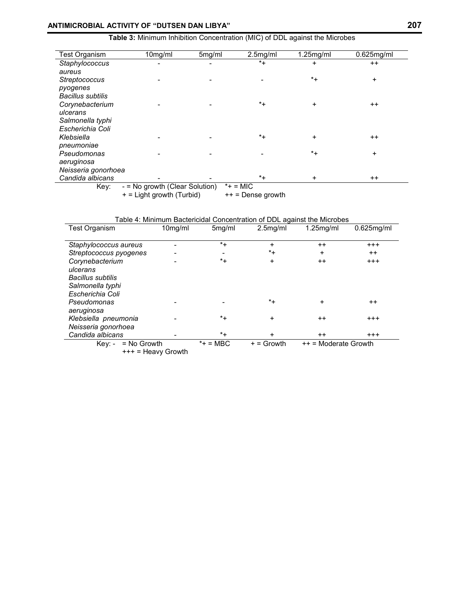**Table 3:** Minimum Inhibition Concentration (MIC) of DDL against the Microbes

| 10mg/ml                        | 5mg/ml | 2.5mg/ml | $1.25$ mg/ml | $0.625$ mg/ml |
|--------------------------------|--------|----------|--------------|---------------|
|                                |        | $*_{+}$  | +            | $^{++}$       |
|                                |        |          |              |               |
|                                |        |          | $*_{+}$      | $\ddot{}$     |
|                                |        |          |              |               |
|                                |        |          |              |               |
|                                |        | $^*$ +   | $\ddot{}$    | $++$          |
|                                |        |          |              |               |
|                                |        |          |              |               |
|                                |        |          |              |               |
|                                |        | $*_{+}$  | $\ddot{}$    | $++$          |
|                                |        |          |              |               |
|                                |        |          |              | $\ddot{}$     |
|                                |        |          |              |               |
|                                |        |          |              |               |
| - = No growth (Clear Solution) |        |          | $\ddot{}$    | $++$          |
|                                |        |          | $*_{+}$      | $^*$ +        |

+ = Light growth (Turbid) + + = Dense growth

Table 4: Minimum Bactericidal Concentration of DDL against the Microbes

| <b>Test Organism</b>     | 10mg/ml | 5 <sub>mg/ml</sub> | $2.5$ mg/ml  | $1.25$ mg/ml           | $0.625$ mg/ml   |  |
|--------------------------|---------|--------------------|--------------|------------------------|-----------------|--|
|                          |         |                    |              |                        |                 |  |
| Staphylococcus aureus    |         | $^*+$              | $\ddot{}$    | $^{\mathrm{+}}$        | $^{+++}$        |  |
| Streptococcus pyogenes   |         |                    | $^*+$        | $\ddot{}$              | $^{\mathrm{+}}$ |  |
| Corynebacterium          |         | $^*+$              | +            | $^{\mathrm{+}}$        | $^{+++}$        |  |
| ulcerans                 |         |                    |              |                        |                 |  |
| <b>Bacillus subtilis</b> |         |                    |              |                        |                 |  |
| Salmonella typhi         |         |                    |              |                        |                 |  |
| Escherichia Coli         |         |                    |              |                        |                 |  |
| Pseudomonas              |         |                    | $^*+$        | $\ddot{}$              | $^{\mathrm{+}}$ |  |
| aeruginosa               |         |                    |              |                        |                 |  |
| Klebsiella pneumonia     |         | $^*+$              | +            | $++$                   | $^{+++}$        |  |
| Neisseria gonorhoea      |         |                    |              |                        |                 |  |
| Candida albicans         |         | $^*$ +             | $\ddot{}$    | $++$                   | $^{+++}$        |  |
| $=$ No Growth<br>Kev: -  |         | $*$ = MBC          | $+ =$ Growth | $++$ = Moderate Growth |                 |  |

+++ = Heavy Growth